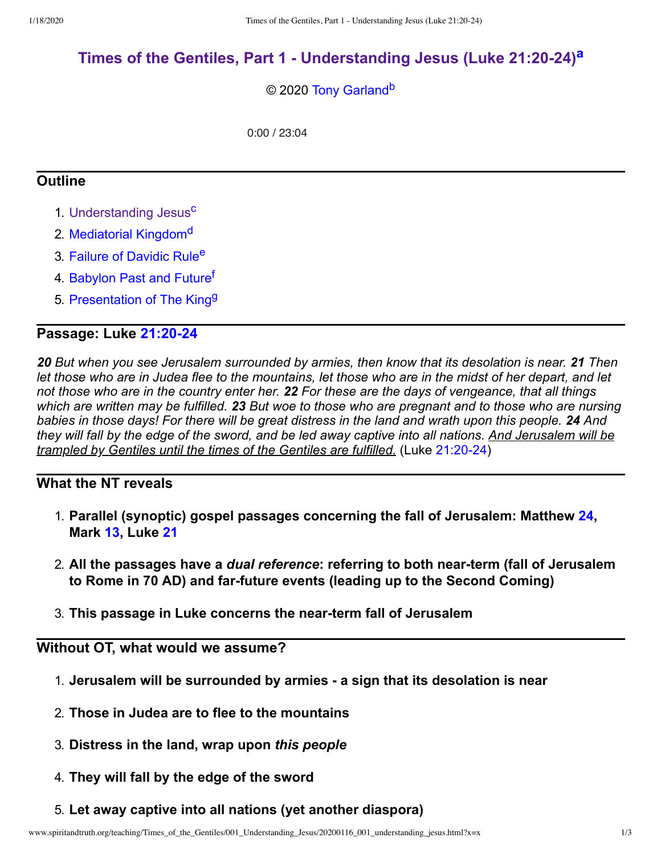# **Times of the Gentiles, Part 1 - [Understanding](http://www.spiritandtruth.org/teaching/Times_of_the_Gentiles/001_Understanding_Jesus/index.htm) Jesus (Luke 21:20-24) [a](#page-2-0)**

#### <span id="page-0-1"></span><span id="page-0-0"></span>© 2020 [Tony Garland](http://www.spiritandtruth.org/id/tg.htm)<sup>[b](#page-2-1)</sup>

<span id="page-0-5"></span><span id="page-0-4"></span><span id="page-0-3"></span><span id="page-0-2"></span>0:00 / 23:04

### **Outline**

- 1. [Understanding Jesus](http://www.spiritandtruth.org/teaching/Times_of_the_Gentiles/001_Understanding_Jesus/index.htm)<sup>[c](#page-2-2)</sup>
- 2. [Mediatorial Kingdom](http://www.spiritandtruth.org/teaching/Times_of_the_Gentiles/002_Mediatorial_Kingdom)<sup>[d](#page-2-3)</sup>
- 3. [Failure of Davidic Rule](http://www.spiritandtruth.org/teaching/Times_of_the_Gentiles/003_Failure_of_Davidic_Rule)<sup>[e](#page-2-4)</sup>
- 4. [Babylon Past and Future](http://www.spiritandtruth.org/teaching/Times_of_the_Gentiles/004_Babylon_Past_and_Future)<sup>t</sup>
- <span id="page-0-6"></span>5. [Presentation of The King](http://www.spiritandtruth.org/teaching/Times_of_the_Gentiles/005_Presentation_of_the_King)<sup>[g](#page-2-6)</sup>

### **Passage: Luke [21:20-24](http://www.spiritandtruth.org/bibles/nasb/b42c021.htm#Luke_C21V20)**

*20 But when you see Jerusalem surrounded by armies, then know that its desolation is near. 21 Then let those who are in Judea flee to the mountains, let those who are in the midst of her depart, and let not those who are in the country enter her. 22 For these are the days of vengeance, that all things which are written may be fulfilled. 23 But woe to those who are pregnant and to those who are nursing babies in those days! For there will be great distress in the land and wrath upon this people. 24 And they will fall by the edge of the sword, and be led away captive into all nations. And Jerusalem will be trampled by Gentiles until the times of the Gentiles are fulfilled.* (Luke [21:20-24](http://www.spiritandtruth.org/bibles/nasb/b42c021.htm#Luke_C21V20))

## **What the NT reveals**

- 1. **Parallel (synoptic) gospel passages concerning the fall of Jerusalem: Matthew [24](http://www.spiritandtruth.org/bibles/nasb/b40c024.htm#Mat._C24V1), Mark [13,](http://www.spiritandtruth.org/bibles/nasb/b41c013.htm#Mark_C13V1) Luke [21](http://www.spiritandtruth.org/bibles/nasb/b42c021.htm#Luke_C21V1)**
- 2. **All the passages have a** *dual reference***: referring to both near-term (fall of Jerusalem to Rome in 70 AD) and far-future events (leading up to the Second Coming)**
- 3. **This passage in Luke concerns the near-term fall of Jerusalem**

# **Without OT, what would we assume?**

- 1. **Jerusalem will be surrounded by armies - a sign that its desolation is near**
- 2. **Those in Judea are to flee to the mountains**
- 3. **Distress in the land, wrap upon** *this people*
- 4. **They will fall by the edge of the sword**
- 5. **Let away captive into all nations (yet another diaspora)**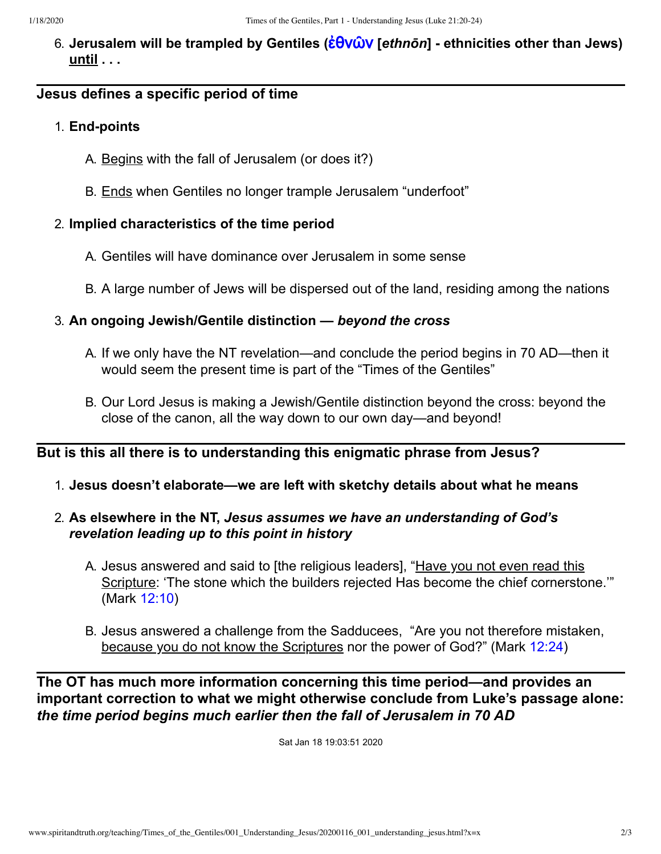6. **Jerusalem will be trampled by Gentiles (**[ἐθνῶν](http://www.spiritandtruth.org/fontsu/index.htm) **[***ethnōn***] - ethnicities other than Jews) until . . .**

#### **Jesus defines a specific period of time**

#### 1. **End-points**

- A. Begins with the fall of Jerusalem (or does it?)
- B. Ends when Gentiles no longer trample Jerusalem "underfoot"

#### 2. **Implied characteristics of the time period**

- A. Gentiles will have dominance over Jerusalem in some sense
- B. A large number of Jews will be dispersed out of the land, residing among the nations

#### 3. **An ongoing Jewish/Gentile distinction —** *beyond the cross*

- A. If we only have the NT revelation—and conclude the period begins in 70 AD—then it would seem the present time is part of the "Times of the Gentiles"
- B. Our Lord Jesus is making a Jewish/Gentile distinction beyond the cross: beyond the close of the canon, all the way down to our own day—and beyond!

### **But is this all there is to understanding this enigmatic phrase from Jesus?**

1. **Jesus doesn't elaborate—we are left with sketchy details about what he means**

### 2. **As elsewhere in the NT,** *Jesus assumes we have an understanding of God's revelation leading up to this point in history*

- A. Jesus answered and said to [the religious leaders], "Have you not even read this Scripture: 'The stone which the builders rejected Has become the chief cornerstone." (Mark [12:10\)](http://www.spiritandtruth.org/bibles/nasb/b41c012.htm#Mark_C12V10)
- B. Jesus answered a challenge from the Sadducees, "Are you not therefore mistaken, because you do not know the Scriptures nor the power of God?" (Mark [12:24](http://www.spiritandtruth.org/bibles/nasb/b41c012.htm#Mark_C12V24))

**The OT has much more information concerning this time period—and provides an important correction to what we might otherwise conclude from Luke's passage alone:** *the time period begins much earlier then the fall of Jerusalem in 70 AD*

Sat Jan 18 19:03:51 2020